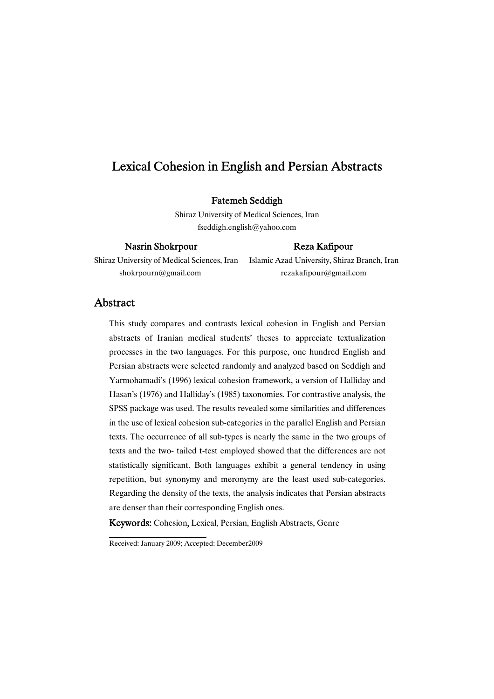# Lexical Cohesion in English and Persian Abstracts

## Fatemeh Seddigh

Shiraz University of Medical Sciences, Iran fseddigh.english@yahoo.com

## Nasrin Shokrpour Reza Kafipour

Shiraz University of Medical Sciences, Iran Islamic Azad University, Shiraz Branch, Iran shokrpourn@gmail.com rezakafipour@gmail.com

# Abstract

This study compares and contrasts lexical cohesion in English and Persian abstracts of Iranian medical students' theses to appreciate textualization processes in the two languages. For this purpose, one hundred English and Persian abstracts were selected randomly and analyzed based on Seddigh and Yarmohamadi's (1996) lexical cohesion framework, a version of Halliday and Hasan's (1976) and Halliday's (1985) taxonomies. For contrastive analysis, the SPSS package was used. The results revealed some similarities and differences in the use of lexical cohesion sub-categories in the parallel English and Persian texts. The occurrence of all sub-types is nearly the same in the two groups of texts and the two- tailed t-test employed showed that the differences are not statistically significant. Both languages exhibit a general tendency in using repetition, but synonymy and meronymy are the least used sub-categories. Regarding the density of the texts, the analysis indicates that Persian abstracts are denser than their corresponding English ones.

Keywords:Cohesion, Lexical, Persian, English Abstracts, Genre

Received: January 2009; Accepted: December2009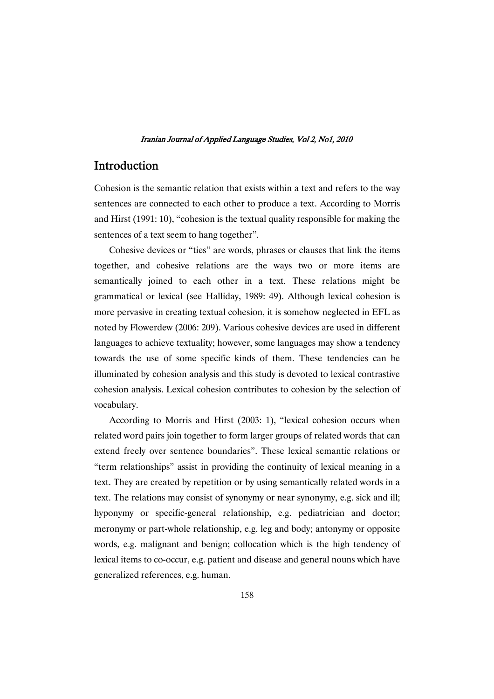# Introduction

Cohesion is the semantic relation that exists within a text and refers to the way sentences are connected to each other to produce a text. According to Morris and Hirst (1991: 10), "cohesion is the textual quality responsible for making the sentences of a text seem to hang together".

Cohesive devices or "ties" are words, phrases or clauses that link the items together, and cohesive relations are the ways two or more items are semantically joined to each other in a text. These relations might be grammatical or lexical (see Halliday, 1989: 49). Although lexical cohesion is more pervasive in creating textual cohesion, it is somehow neglected in EFL as noted by Flowerdew (2006: 209). Various cohesive devices are used in different languages to achieve textuality; however, some languages may show a tendency towards the use of some specific kinds of them. These tendencies can be illuminated by cohesion analysis and this study is devoted to lexical contrastive cohesion analysis. Lexical cohesion contributes to cohesion by the selection of vocabulary.

According to Morris and Hirst (2003: 1), "lexical cohesion occurs when related word pairs join together to form larger groups of related words that can extend freely over sentence boundaries". These lexical semantic relations or "term relationships" assist in providing the continuity of lexical meaning in a text. They are created by repetition or by using semantically related words in a text. The relations may consist of synonymy or near synonymy, e.g. sick and ill; hyponymy or specific-general relationship, e.g. pediatrician and doctor; meronymy or part-whole relationship, e.g. leg and body; antonymy or opposite words, e.g. malignant and benign; collocation which is the high tendency of lexical items to co-occur, e.g. patient and disease and general nouns which have generalized references, e.g. human.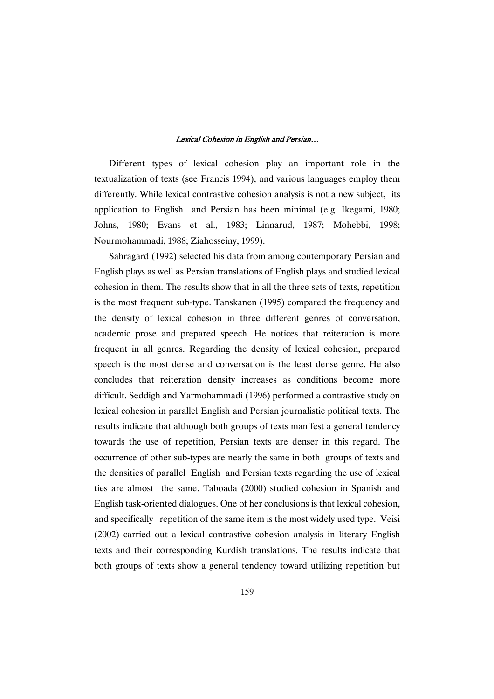Different types of lexical cohesion play an important role in the textualization of texts (see Francis 1994), and various languages employ them differently. While lexical contrastive cohesion analysis is not a new subject, its application to English and Persian has been minimal (e.g. Ikegami, 1980; Johns, 1980; Evans et al., 1983; Linnarud, 1987; Mohebbi, 1998; Nourmohammadi, 1988; Ziahosseiny, 1999).

Sahragard (1992) selected his data from among contemporary Persian and English plays as well as Persian translations of English plays and studied lexical cohesion in them. The results show that in all the three sets of texts, repetition is the most frequent sub-type. Tanskanen (1995) compared the frequency and the density of lexical cohesion in three different genres of conversation, academic prose and prepared speech. He notices that reiteration is more frequent in all genres. Regarding the density of lexical cohesion, prepared speech is the most dense and conversation is the least dense genre. He also concludes that reiteration density increases as conditions become more difficult. Seddigh and Yarmohammadi (1996) performed a contrastive study on lexical cohesion in parallel English and Persian journalistic political texts. The results indicate that although both groups of texts manifest a general tendency towards the use of repetition, Persian texts are denser in this regard. The occurrence of other sub-types are nearly the same in both groups of texts and the densities of parallel English and Persian texts regarding the use of lexical ties are almost the same. Taboada (2000) studied cohesion in Spanish and English task-oriented dialogues. One of her conclusions is that lexical cohesion, and specifically repetition of the same item is the most widely used type. Veisi (2002) carried out a lexical contrastive cohesion analysis in literary English texts and their corresponding Kurdish translations. The results indicate that both groups of texts show a general tendency toward utilizing repetition but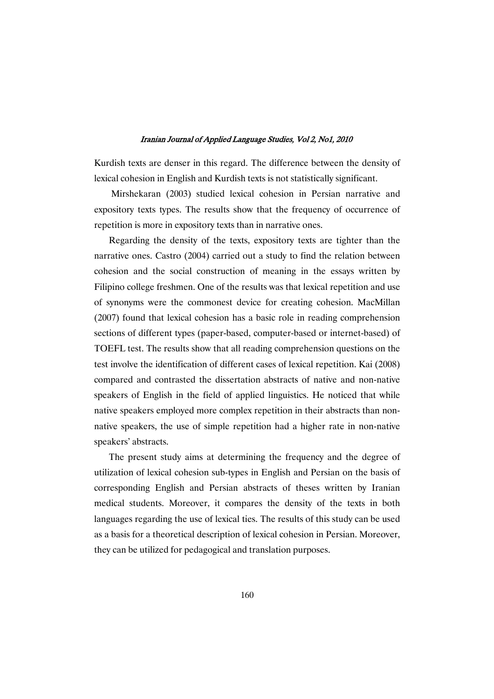Kurdish texts are denser in this regard. The difference between the density of lexical cohesion in English and Kurdish texts is not statistically significant.

Mirshekaran (2003) studied lexical cohesion in Persian narrative and expository texts types. The results show that the frequency of occurrence of repetition is more in expository texts than in narrative ones.

Regarding the density of the texts, expository texts are tighter than the narrative ones. Castro (2004) carried out a study to find the relation between cohesion and the social construction of meaning in the essays written by Filipino college freshmen. One of the results was that lexical repetition and use of synonyms were the commonest device for creating cohesion. MacMillan (2007) found that lexical cohesion has a basic role in reading comprehension sections of different types (paper-based, computer-based or internet-based) of TOEFL test. The results show that all reading comprehension questions on the test involve the identification of different cases of lexical repetition. Kai (2008) compared and contrasted the dissertation abstracts of native and non-native speakers of English in the field of applied linguistics. He noticed that while native speakers employed more complex repetition in their abstracts than nonnative speakers, the use of simple repetition had a higher rate in non-native speakers' abstracts.

The present study aims at determining the frequency and the degree of utilization of lexical cohesion sub-types in English and Persian on the basis of corresponding English and Persian abstracts of theses written by Iranian medical students. Moreover, it compares the density of the texts in both languages regarding the use of lexical ties. The results of this study can be used as a basis for a theoretical description of lexical cohesion in Persian. Moreover, they can be utilized for pedagogical and translation purposes.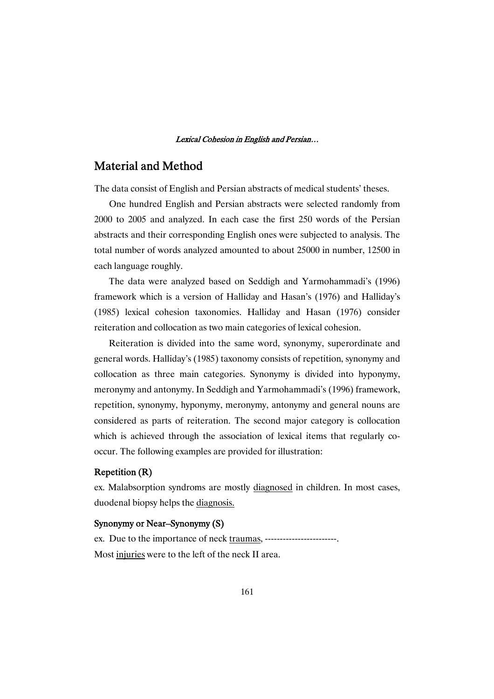# **Material and Method**

The data consist of English and Persian abstracts of medical students' theses.

One hundred English and Persian abstracts were selected randomly from 2000 to 2005 and analyzed. In each case the first 250 words of the Persian abstracts and their corresponding English ones were subjected to analysis. The total number of words analyzed amounted to about 25000 in number, 12500 in each language roughly.

The data were analyzed based on Seddigh and Yarmohammadi's (1996) framework which is a version of Halliday and Hasan's (1976) and Halliday's (1985) lexical cohesion taxonomies. Halliday and Hasan (1976) consider reiteration and collocation as two main categories of lexical cohesion.

Reiteration is divided into the same word, synonymy, superordinate and general words. Halliday's (1985) taxonomy consists of repetition, synonymy and collocation as three main categories. Synonymy is divided into hyponymy, meronymy and antonymy. In Seddigh and Yarmohammadi's (1996) framework, repetition, synonymy, hyponymy, meronymy, antonymy and general nouns are considered as parts of reiteration. The second major category is collocation which is achieved through the association of lexical items that regularly cooccur. The following examples are provided for illustration:

## Repetition(R)

ex. Malabsorption syndroms are mostly diagnosed in children. In most cases, duodenal biopsy helps the diagnosis.

## Synonymy or Near–Synonymy (S)

ex. Due to the importance of neck traumas, ------------------------. Most injuries were to the left of the neck II area.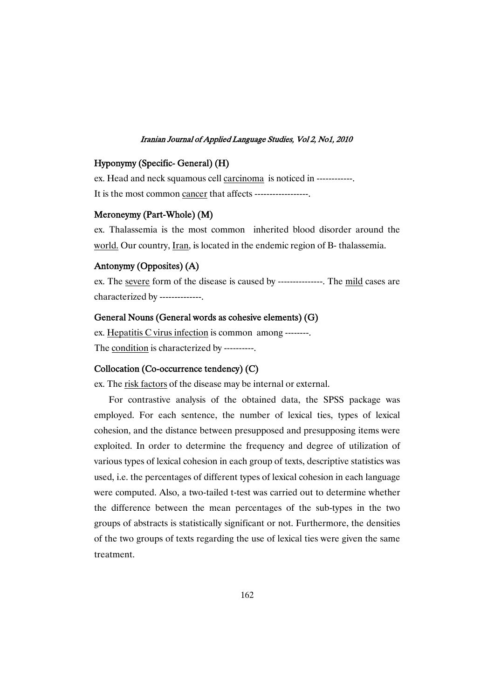# Hyponymy(Specific-General)(H)

ex. Head and neck squamous cell carcinoma is noticed in ------------. It is the most common cancer that affects ------------------.

## Meroneymy(Part-Whole)(M)

ex. Thalassemia is the most common inherited blood disorder around the world. Our country, Iran, is located in the endemic region of B- thalassemia.

## Antonymy(Opposites)(A)

ex. The severe form of the disease is caused by ---------------. The mild cases are characterized by --------------.

## General Nouns (General words as cohesive elements) (G)

ex. Hepatitis C virus infection is common among --------. The <u>condition</u> is characterized by ----------.

## Collocation (Co-occurrence tendency) (C)

ex. The risk factors of the disease may be internal or external.

For contrastive analysis of the obtained data, the SPSS package was employed. For each sentence, the number of lexical ties, types of lexical cohesion, and the distance between presupposed and presupposing items were exploited. In order to determine the frequency and degree of utilization of various types of lexical cohesion in each group of texts, descriptive statistics was used, i.e. the percentages of different types of lexical cohesion in each language were computed. Also, a two-tailed t-test was carried out to determine whether the difference between the mean percentages of the sub-types in the two groups of abstracts is statistically significant or not. Furthermore, the densities of the two groups of texts regarding the use of lexical ties were given the same treatment.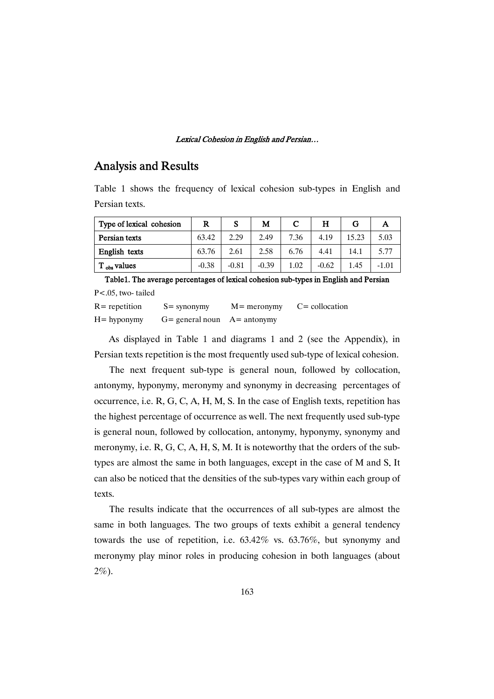# **Analysis and Results**

Table 1 shows the frequency of lexical cohesion sub-types in English and Persian texts.

| Type of lexical cohesion | R       | S       | М       | С    | Н       | G     | А       |
|--------------------------|---------|---------|---------|------|---------|-------|---------|
| Persian texts            | 63.42   | 2.29    | 2.49    | 7.36 | 4.19    | 15.23 | 5.03    |
| English texts            | 63.76   | 2.61    | 2.58    | 6.76 | 4.41    | 14.1  | 5.77    |
| $T_{obs}$ values         | $-0.38$ | $-0.81$ | $-0.39$ | 1.02 | $-0.62$ | 1.45  | $-1.01$ |

Table1. The average percentages of lexical cohesion sub-types in English and Persian P<.05, two- tailed  $R =$  repetition  $S =$  synonymy  $M =$  meronymy  $C =$  collocation  $H =$  hyponymy  $G =$  general noun  $A =$  antonymy

As displayed in Table 1 and diagrams 1 and 2 (see the Appendix), in Persian texts repetition is the most frequently used sub-type of lexical cohesion.

The next frequent sub-type is general noun, followed by collocation, antonymy, hyponymy, meronymy and synonymy in decreasing percentages of occurrence, i.e. R, G, C, A, H, M, S. In the case of English texts, repetition has the highest percentage of occurrence as well. The next frequently used sub-type is general noun, followed by collocation, antonymy, hyponymy, synonymy and meronymy, i.e. R, G, C, A, H, S, M. It is noteworthy that the orders of the subtypes are almost the same in both languages, except in the case of M and S. It can also be noticed that the densities of the sub-types vary within each group of texts.

The results indicate that the occurrences of all sub-types are almost the same in both languages. The two groups of texts exhibit a general tendency towards the use of repetition, i.e. 63.42% vs. 63.76%, but synonymy and meronymy play minor roles in producing cohesion in both languages (about 2%).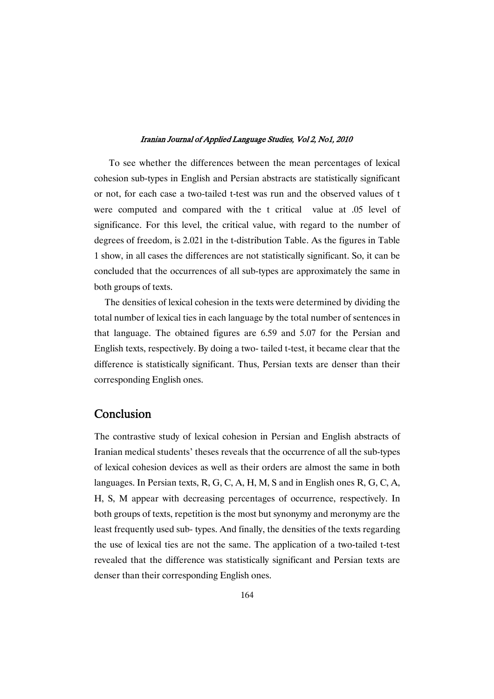To see whether the differences between the mean percentages of lexical cohesion sub-types in English and Persian abstracts are statistically significant or not, for each case a two-tailed t-test was run and the observed values of t were computed and compared with the t critical value at .05 level of significance. For this level, the critical value, with regard to the number of degrees of freedom, is 2.021 in the t-distribution Table. As the figures in Table 1 show, in all cases the differences are not statistically significant. So, it can be concluded that the occurrences of all sub-types are approximately the same in both groups of texts.

The densities of lexical cohesion in the texts were determined by dividing the total number of lexical ties in each language by the total number of sentences in that language. The obtained figures are 6.59 and 5.07 for the Persian and English texts, respectively. By doing a two- tailed t-test, it became clear that the difference is statistically significant. Thus, Persian texts are denser than their corresponding English ones.

# **Conclusion**

The contrastive study of lexical cohesion in Persian and English abstracts of Iranian medical students' theses reveals that the occurrence of all the sub-types of lexical cohesion devices as well as their orders are almost the same in both languages. In Persian texts, R, G, C, A, H, M, S and in English ones R, G, C, A, H, S, M appear with decreasing percentages of occurrence, respectively. In both groups of texts, repetition is the most but synonymy and meronymy are the least frequently used sub- types. And finally, the densities of the texts regarding the use of lexical ties are not the same. The application of a two-tailed t-test revealed that the difference was statistically significant and Persian texts are denser than their corresponding English ones.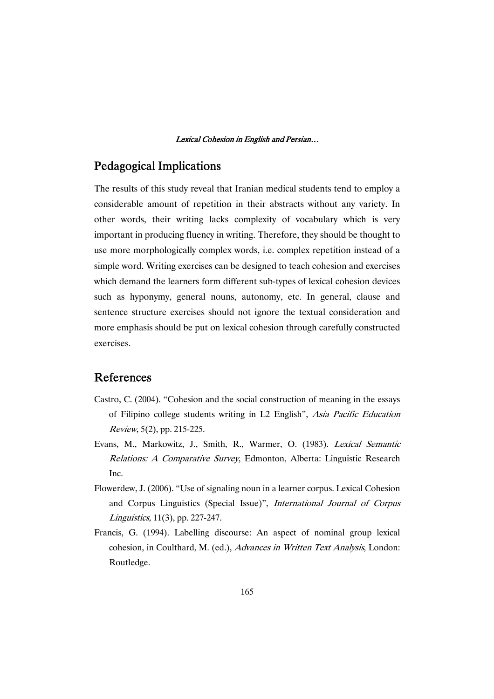# Pedagogical Implications

The results of this study reveal that Iranian medical students tend to employ a considerable amount of repetition in their abstracts without any variety. In other words, their writing lacks complexity of vocabulary which is very important in producing fluency in writing. Therefore, they should be thought to use more morphologically complex words, i.e. complex repetition instead of a simple word. Writing exercises can be designed to teach cohesion and exercises which demand the learners form different sub-types of lexical cohesion devices such as hyponymy, general nouns, autonomy, etc. In general, clause and sentence structure exercises should not ignore the textual consideration and more emphasis should be put on lexical cohesion through carefully constructed exercises.

# References

- Castro, C. (2004). "Cohesion and the social construction of meaning in the essays of Filipino college students writing in L2 English", Asia Pacific Education Review, 5(2), pp. 215-225.
- Evans, M., Markowitz, J., Smith, R., Warmer, O. (1983). Lexical Semantic Relations: <sup>A</sup> Comparative Survey, Edmonton, Alberta: Linguistic Research Inc.
- Flowerdew, J. (2006). "Use of signaling noun in a learner corpus. Lexical Cohesion and Corpus Linguistics (Special Issue)", International Journal of Corpus Linguistics, 11(3), pp. 227-247.
- Francis, G. (1994). Labelling discourse: An aspect of nominal group lexical cohesion, in Coulthard, M. (ed.), Advances in Written Text Analysis, London: Routledge.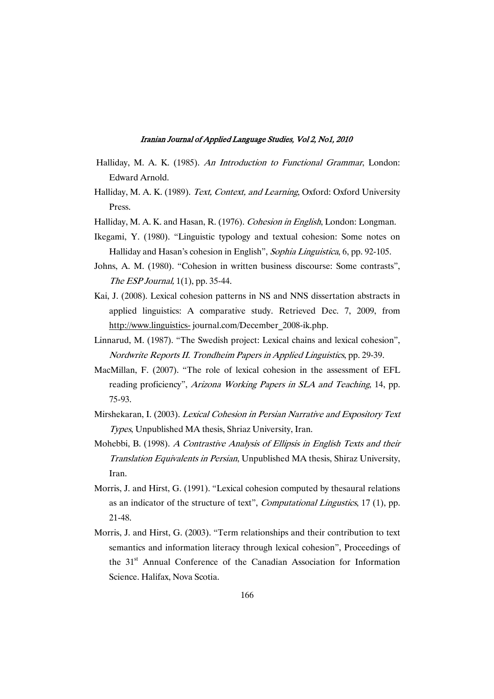- Halliday, M. A. K. (1985). An Introduction to Functional Grammar, London: Edward Arnold.
- Halliday, M. A. K. (1989). Text, Context, and Learning, Oxford: Oxford University Press.
- Halliday, M. A. K. and Hasan, R. (1976). Cohesion in English, London: Longman.
- Ikegami, Y. (1980). "Linguistic typology and textual cohesion: Some notes on Halliday and Hasan's cohesion in English", Sophia Linguistica, 6, pp. 92-105.
- Johns, A. M. (1980). "Cohesion in written business discourse: Some contrasts", The ESP Journal, 1(1), pp. 35-44.
- Kai, J. (2008). Lexical cohesion patterns in NS and NNS dissertation abstracts in applied linguistics: A comparative study. Retrieved Dec. 7, 2009, from http://www.linguistics- journal.com/December\_2008-ik.php.
- Linnarud, M. (1987). "The Swedish project: Lexical chains and lexical cohesion", Nordwrite Reports II. Trondheim Papers in Applied Linguistics, pp. 29-39.
- MacMillan, F. (2007). "The role of lexical cohesion in the assessment of EFL reading proficiency", Arizona Working Papers in SLA and Teaching, 14, pp. 75-93.
- Mirshekaran, I. (2003). Lexical Cohesion in Persian Narrative and Expository Text Types, Unpublished MA thesis, Shriaz University, Iran.
- Mohebbi, B. (1998). <sup>A</sup> Contrastive Analysis of Ellipsis in English Texts and their Translation Equivalents in Persian, Unpublished MA thesis, Shiraz University, Iran.
- Morris, J. and Hirst, G. (1991). "Lexical cohesion computed by thesaural relations as an indicator of the structure of text", Computational Lingustics, 17 (1), pp. 21-48.
- Morris, J. and Hirst, G. (2003). "Term relationships and their contribution to text semantics and information literacy through lexical cohesion", Proceedings of the 31<sup>st</sup> Annual Conference of the Canadian Association for Information Science. Halifax, Nova Scotia.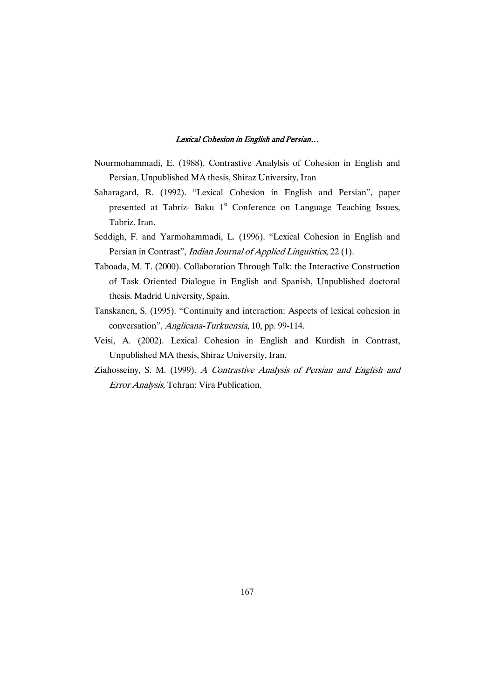- Nourmohammadi, E. (1988). Contrastive Analylsis of Cohesion in English and Persian, Unpublished MA thesis, Shiraz University, Iran
- Saharagard, R. (1992). "Lexical Cohesion in English and Persian", paper presented at Tabriz- Baku 1<sup>st</sup> Conference on Language Teaching Issues, Tabriz. Iran.
- Seddigh, F. and Yarmohammadi, L. (1996). "Lexical Cohesion in English and Persian in Contrast", *Indian Journal of Applied Linguistics*, 22 (1).
- Taboada, M. T. (2000). Collaboration Through Talk: the Interactive Construction of Task Oriented Dialogue in English and Spanish, Unpublished doctoral thesis. Madrid University, Spain.
- Tanskanen, S. (1995). "Continuity and interaction: Aspects of lexical cohesion in conversation", Anglicana-Turkuensia, 10, pp. 99-114.
- Veisi, A. (2002). Lexical Cohesion in English and Kurdish in Contrast, Unpublished MA thesis, Shiraz University, Iran.
- Ziahosseiny, S. M. (1999). <sup>A</sup> Contrastive Analysis of Persian and English and Error Analysis, Tehran: Vira Publication.